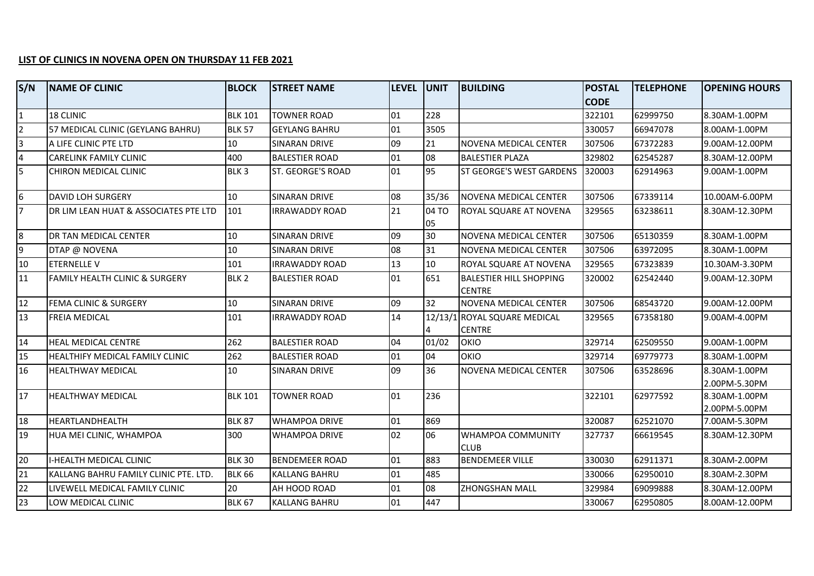## **LIST OF CLINICS IN NOVENA OPEN ON THURSDAY 11 FEB 2021**

| S/N            | <b>NAME OF CLINIC</b>                     | <b>BLOCK</b>     | <b>STREET NAME</b>       | <b>LEVEL</b> | <b>JUNIT</b> | <b>BUILDING</b>                                 | <b>POSTAL</b> | <b>TELEPHONE</b> | <b>OPENING HOURS</b>           |
|----------------|-------------------------------------------|------------------|--------------------------|--------------|--------------|-------------------------------------------------|---------------|------------------|--------------------------------|
|                |                                           |                  |                          |              |              |                                                 | <b>CODE</b>   |                  |                                |
| $\mathbf{1}$   | 18 CLINIC                                 | <b>BLK 101</b>   | <b>TOWNER ROAD</b>       | 01           | 228          |                                                 | 322101        | 62999750         | 8.30AM-1.00PM                  |
| $\overline{2}$ | 57 MEDICAL CLINIC (GEYLANG BAHRU)         | <b>BLK 57</b>    | <b>GEYLANG BAHRU</b>     | 01           | 3505         |                                                 | 330057        | 66947078         | 8.00AM-1.00PM                  |
| $\overline{3}$ | A LIFE CLINIC PTE LTD                     | 10               | <b>SINARAN DRIVE</b>     | 09           | 21           | <b>NOVENA MEDICAL CENTER</b>                    | 307506        | 67372283         | 9.00AM-12.00PM                 |
| $\overline{4}$ | <b>CARELINK FAMILY CLINIC</b>             | 400              | <b>BALESTIER ROAD</b>    | 01           | 08           | <b>BALESTIER PLAZA</b>                          | 329802        | 62545287         | 8.30AM-12.00PM                 |
| 5              | CHIRON MEDICAL CLINIC                     | BLK <sub>3</sub> | <b>ST. GEORGE'S ROAD</b> | 01           | 95           | ST GEORGE'S WEST GARDENS                        | 320003        | 62914963         | 9.00AM-1.00PM                  |
| 6              | <b>DAVID LOH SURGERY</b>                  | 10               | <b>SINARAN DRIVE</b>     | 08           | 35/36        | NOVENA MEDICAL CENTER                           | 307506        | 67339114         | 10.00AM-6.00PM                 |
| $\overline{7}$ | DR LIM LEAN HUAT & ASSOCIATES PTE LTD     | 101              | <b>IRRAWADDY ROAD</b>    | 21           | 04 TO<br>05  | ROYAL SQUARE AT NOVENA                          | 329565        | 63238611         | 8.30AM-12.30PM                 |
| $\overline{8}$ | DR TAN MEDICAL CENTER                     | 10               | <b>SINARAN DRIVE</b>     | 09           | 30           | NOVENA MEDICAL CENTER                           | 307506        | 65130359         | 8.30AM-1.00PM                  |
| 9              | DTAP @ NOVENA                             | 10               | SINARAN DRIVE            | 08           | 31           | NOVENA MEDICAL CENTER                           | 307506        | 63972095         | 8.30AM-1.00PM                  |
| 10             | <b>ETERNELLE V</b>                        | 101              | <b>IRRAWADDY ROAD</b>    | 13           | 10           | ROYAL SQUARE AT NOVENA                          | 329565        | 67323839         | 10.30AM-3.30PM                 |
| 11             | <b>FAMILY HEALTH CLINIC &amp; SURGERY</b> | BLK <sub>2</sub> | <b>BALESTIER ROAD</b>    | 01           | 651          | <b>BALESTIER HILL SHOPPING</b><br><b>CENTRE</b> | 320002        | 62542440         | 9.00AM-12.30PM                 |
| 12             | FEMA CLINIC & SURGERY                     | 10               | <b>SINARAN DRIVE</b>     | 09           | 32           | NOVENA MEDICAL CENTER                           | 307506        | 68543720         | 9.00AM-12.00PM                 |
| <b>13</b>      | <b>FREIA MEDICAL</b>                      | 101              | <b>IRRAWADDY ROAD</b>    | 14           |              | 12/13/1 ROYAL SQUARE MEDICAL<br><b>CENTRE</b>   | 329565        | 67358180         | 9.00AM-4.00PM                  |
| 14             | <b>HEAL MEDICAL CENTRE</b>                | 262              | <b>BALESTIER ROAD</b>    | 04           | 01/02        | <b>OKIO</b>                                     | 329714        | 62509550         | 9.00AM-1.00PM                  |
| 15             | HEALTHIFY MEDICAL FAMILY CLINIC           | 262              | <b>BALESTIER ROAD</b>    | 01           | 04           | <b>OKIO</b>                                     | 329714        | 69779773         | 8.30AM-1.00PM                  |
| 16             | <b>HEALTHWAY MEDICAL</b>                  | 10               | <b>SINARAN DRIVE</b>     | 09           | 36           | NOVENA MEDICAL CENTER                           | 307506        | 63528696         | 8.30AM-1.00PM<br>2.00PM-5.30PM |
| 17             | <b>HEALTHWAY MEDICAL</b>                  | <b>BLK 101</b>   | <b>TOWNER ROAD</b>       | 01           | 236          |                                                 | 322101        | 62977592         | 8.30AM-1.00PM<br>2.00PM-5.00PM |
| 18             | HEARTLANDHEALTH                           | <b>BLK 87</b>    | <b>WHAMPOA DRIVE</b>     | 01           | 869          |                                                 | 320087        | 62521070         | 7.00AM-5.30PM                  |
| 19             | HUA MEI CLINIC, WHAMPOA                   | 300              | <b>WHAMPOA DRIVE</b>     | 02           | 06           | WHAMPOA COMMUNITY<br><b>CLUB</b>                | 327737        | 66619545         | 8.30AM-12.30PM                 |
| 20             | <b>I-HEALTH MEDICAL CLINIC</b>            | BLK 30           | <b>BENDEMEER ROAD</b>    | 01           | 883          | <b>BENDEMEER VILLE</b>                          | 330030        | 62911371         | 8.30AM-2.00PM                  |
| 21             | KALLANG BAHRU FAMILY CLINIC PTE. LTD.     | <b>BLK 66</b>    | <b>KALLANG BAHRU</b>     | 01           | 485          |                                                 | 330066        | 62950010         | 8.30AM-2.30PM                  |
| 22             | LIVEWELL MEDICAL FAMILY CLINIC            | 20               | AH HOOD ROAD             | 01           | 08           | <b>ZHONGSHAN MALL</b>                           | 329984        | 69099888         | 8.30AM-12.00PM                 |
| 23             | LOW MEDICAL CLINIC                        | <b>BLK 67</b>    | <b>KALLANG BAHRU</b>     | 01           | 447          |                                                 | 330067        | 62950805         | 8.00AM-12.00PM                 |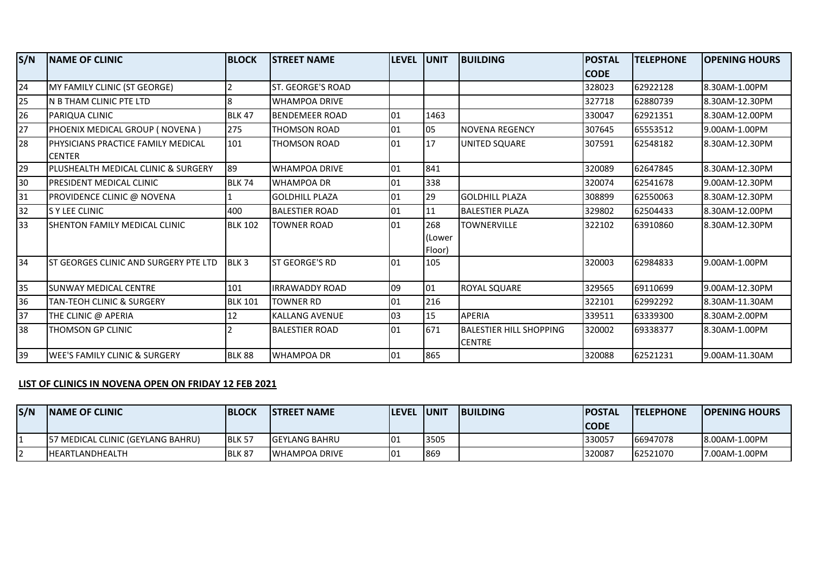| S/N | <b>INAME OF CLINIC</b>                                       | <b>BLOCK</b>     | <b>STREET NAME</b>    | <b>LEVEL</b> | <b>UNIT</b>             | <b>BUILDING</b>                          | <b>POSTAL</b> | <b>TELEPHONE</b> | <b>OPENING HOURS</b> |
|-----|--------------------------------------------------------------|------------------|-----------------------|--------------|-------------------------|------------------------------------------|---------------|------------------|----------------------|
|     |                                                              |                  |                       |              |                         |                                          | <b>CODE</b>   |                  |                      |
| 24  | MY FAMILY CLINIC (ST GEORGE)                                 |                  | ST. GEORGE'S ROAD     |              |                         |                                          | 328023        | 62922128         | 8.30AM-1.00PM        |
| 25  | N B THAM CLINIC PTE LTD                                      |                  | <b>WHAMPOA DRIVE</b>  |              |                         |                                          | 327718        | 62880739         | 8.30AM-12.30PM       |
| 26  | PARIQUA CLINIC                                               | <b>BLK 47</b>    | <b>BENDEMEER ROAD</b> | 101          | 1463                    |                                          | 330047        | 62921351         | 8.30AM-12.00PM       |
| 27  | PHOENIX MEDICAL GROUP (NOVENA)                               | 275              | THOMSON ROAD          | 01           | 05                      | <b>NOVENA REGENCY</b>                    | 307645        | 65553512         | 9.00AM-1.00PM        |
| 28  | <b>IPHYSICIANS PRACTICE FAMILY MEDICAL</b><br><b>ICENTER</b> | 101              | <b>THOMSON ROAD</b>   | 101          | 17                      | UNITED SQUARE                            | 307591        | 62548182         | 8.30AM-12.30PM       |
| 29  | <b>IPLUSHEALTH MEDICAL CLINIC &amp; SURGERY</b>              | 89               | <b>WHAMPOA DRIVE</b>  | 01           | 841                     |                                          | 320089        | 62647845         | 8.30AM-12.30PM       |
| 30  | <b>IPRESIDENT MEDICAL CLINIC</b>                             | <b>BLK 74</b>    | <b>WHAMPOA DR</b>     | 01           | 338                     |                                          | 320074        | 62541678         | 9.00AM-12.30PM       |
| 31  | PROVIDENCE CLINIC @ NOVENA                                   |                  | <b>GOLDHILL PLAZA</b> | 01           | 29                      | <b>GOLDHILL PLAZA</b>                    | 308899        | 62550063         | 8.30AM-12.30PM       |
| 32  | <b>S Y LEE CLINIC</b>                                        | 400              | <b>BALESTIER ROAD</b> | 01           | 11                      | <b>BALESTIER PLAZA</b>                   | 329802        | 62504433         | 8.30AM-12.00PM       |
| 33  | ISHENTON FAMILY MEDICAL CLINIC                               | <b>BLK 102</b>   | <b>TOWNER ROAD</b>    | 01           | 268<br>(Lower<br>Floor) | <b>TOWNERVILLE</b>                       | 322102        | 63910860         | 8.30AM-12.30PM       |
| 34  | IST GEORGES CLINIC AND SURGERY PTE LTD                       | BLK <sub>3</sub> | <b>ST GEORGE'S RD</b> | 101          | 105                     |                                          | 320003        | 62984833         | 9.00AM-1.00PM        |
| 35  | <b>I</b> SUNWAY MEDICAL CENTRE                               | 101              | <b>IRRAWADDY ROAD</b> | 09           | 01                      | ROYAL SQUARE                             | 329565        | 69110699         | 9.00AM-12.30PM       |
| 36  | <b>TAN-TEOH CLINIC &amp; SURGERY</b>                         | <b>BLK 101</b>   | <b>TOWNER RD</b>      | 01           | 216                     |                                          | 322101        | 62992292         | 8.30AM-11.30AM       |
| 37  | THE CLINIC @ APERIA                                          | 12               | <b>KALLANG AVENUE</b> | 03           | 15                      | <b>APERIA</b>                            | 339511        | 63339300         | 8.30AM-2.00PM        |
| 38  | THOMSON GP CLINIC                                            |                  | <b>BALESTIER ROAD</b> | 01           | 671                     | BALESTIER HILL SHOPPING<br><b>CENTRE</b> | 320002        | 69338377         | 8.30AM-1.00PM        |
| 39  | IWEE'S FAMILY CLINIC & SURGERY                               | <b>BLK 88</b>    | <b>WHAMPOA DR</b>     | 01           | 865                     |                                          | 320088        | 62521231         | 9.00AM-11.30AM       |

## **LIST OF CLINICS IN NOVENA OPEN ON FRIDAY 12 FEB 2021**

| S/N | <b>INAME OF CLINIC</b>                    | <b>BLOCK</b>  | ISTREET NAME          | <b>ILEVEL IUNIT</b> |       | <b>IBUILDING</b> | <b>POSTAL</b> | <b>ITELEPHONE</b> | <b>IOPENING HOURS</b> |
|-----|-------------------------------------------|---------------|-----------------------|---------------------|-------|------------------|---------------|-------------------|-----------------------|
|     |                                           |               |                       |                     |       |                  | <b>CODE</b>   |                   |                       |
|     | <b>157 MEDICAL CLINIC (GEYLANG BAHRU)</b> | <b>BLK 57</b> | <b>IGEYLANG BAHRU</b> | 101                 | 13505 |                  | 330057        | 66947078          | 8.00AM-1.00PM         |
|     | <b>IHEARTLANDHEALTH</b>                   | BLK 87        | <b>WHAMPOA DRIVE</b>  | l01                 | 869   |                  | 320087        | 62521070          | 17.00AM-1.00PM        |